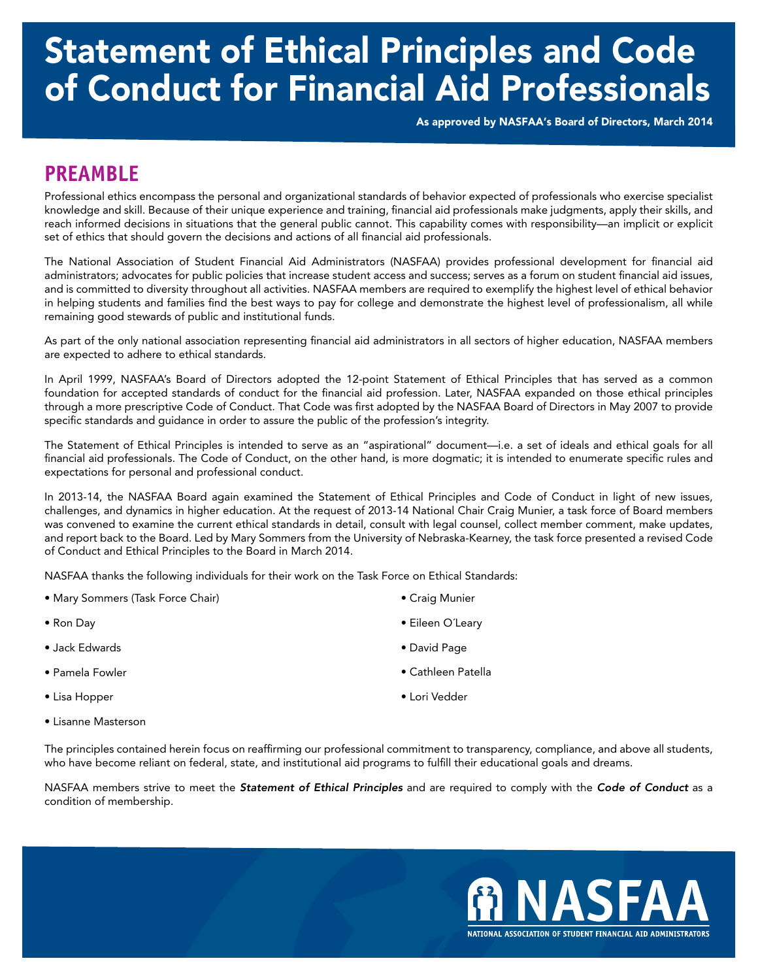# Statement of Ethical Principles and Code of Conduct for Financial Aid Professionals

As approved by NASFAA's Board of Directors, March 2014

### **PREAMBLE**

Professional ethics encompass the personal and organizational standards of behavior expected of professionals who exercise specialist knowledge and skill. Because of their unique experience and training, financial aid professionals make judgments, apply their skills, and reach informed decisions in situations that the general public cannot. This capability comes with responsibility—an implicit or explicit set of ethics that should govern the decisions and actions of all financial aid professionals.

The National Association of Student Financial Aid Administrators (NASFAA) provides professional development for financial aid administrators; advocates for public policies that increase student access and success; serves as a forum on student financial aid issues, and is committed to diversity throughout all activities. NASFAA members are required to exemplify the highest level of ethical behavior in helping students and families find the best ways to pay for college and demonstrate the highest level of professionalism, all while remaining good stewards of public and institutional funds.

As part of the only national association representing financial aid administrators in all sectors of higher education, NASFAA members are expected to adhere to ethical standards.

In April 1999, NASFAA's Board of Directors adopted the 12-point Statement of Ethical Principles that has served as a common foundation for accepted standards of conduct for the financial aid profession. Later, NASFAA expanded on those ethical principles through a more prescriptive Code of Conduct. That Code was first adopted by the NASFAA Board of Directors in May 2007 to provide specific standards and guidance in order to assure the public of the profession's integrity.

The Statement of Ethical Principles is intended to serve as an "aspirational" document—i.e. a set of ideals and ethical goals for all financial aid professionals. The Code of Conduct, on the other hand, is more dogmatic; it is intended to enumerate specific rules and expectations for personal and professional conduct.

In 2013-14, the NASFAA Board again examined the Statement of Ethical Principles and Code of Conduct in light of new issues, challenges, and dynamics in higher education. At the request of 2013-14 National Chair Craig Munier, a task force of Board members was convened to examine the current ethical standards in detail, consult with legal counsel, collect member comment, make updates, and report back to the Board. Led by Mary Sommers from the University of Nebraska-Kearney, the task force presented a revised Code of Conduct and Ethical Principles to the Board in March 2014.

NASFAA thanks the following individuals for their work on the Task Force on Ethical Standards:

- Mary Sommers (Task Force Chair)
- Ron Day
- Jack Edwards
- Pamela Fowler
- Lisa Hopper
- Lisanne Masterson
- Craig Munier
- Eileen O´Leary
- David Page
- Cathleen Patella
- Lori Vedder
- The principles contained herein focus on reaffirming our professional commitment to transparency, compliance, and above all students, who have become reliant on federal, state, and institutional aid programs to fulfill their educational goals and dreams.

NASFAA members strive to meet the *Statement of Ethical Principles* and are required to comply with the *Code of Conduct* as a condition of membership.

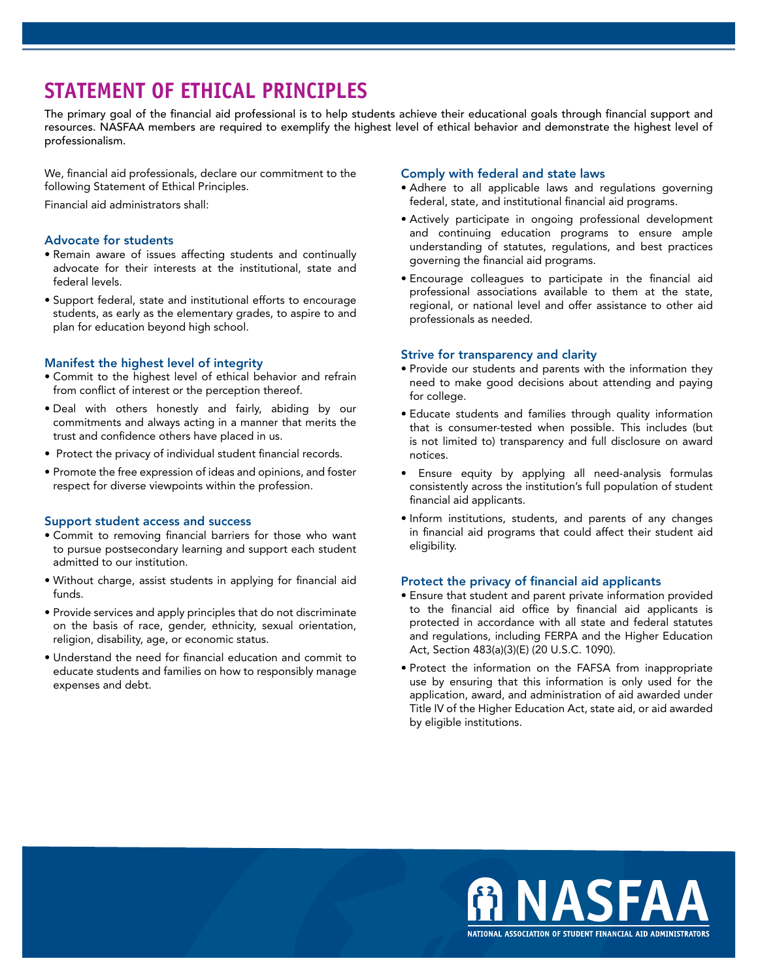## **STATEMENT OF ETHICAL PRINCIPLES**

The primary goal of the financial aid professional is to help students achieve their educational goals through financial support and resources. NASFAA members are required to exemplify the highest level of ethical behavior and demonstrate the highest level of professionalism.

We, financial aid professionals, declare our commitment to the following Statement of Ethical Principles.

Financial aid administrators shall:

#### Advocate for students

- Remain aware of issues affecting students and continually advocate for their interests at the institutional, state and federal levels.
- Support federal, state and institutional efforts to encourage students, as early as the elementary grades, to aspire to and plan for education beyond high school.

#### Manifest the highest level of integrity

- Commit to the highest level of ethical behavior and refrain from conflict of interest or the perception thereof.
- Deal with others honestly and fairly, abiding by our commitments and always acting in a manner that merits the trust and confidence others have placed in us.
- Protect the privacy of individual student financial records.
- Promote the free expression of ideas and opinions, and foster respect for diverse viewpoints within the profession.

#### Support student access and success

- Commit to removing financial barriers for those who want to pursue postsecondary learning and support each student admitted to our institution.
- Without charge, assist students in applying for financial aid funds.
- Provide services and apply principles that do not discriminate on the basis of race, gender, ethnicity, sexual orientation, religion, disability, age, or economic status.
- Understand the need for financial education and commit to educate students and families on how to responsibly manage expenses and debt.

#### Comply with federal and state laws

- Adhere to all applicable laws and regulations governing federal, state, and institutional financial aid programs.
- Actively participate in ongoing professional development and continuing education programs to ensure ample understanding of statutes, regulations, and best practices governing the financial aid programs.
- Encourage colleagues to participate in the financial aid professional associations available to them at the state, regional, or national level and offer assistance to other aid professionals as needed.

#### Strive for transparency and clarity

- Provide our students and parents with the information they need to make good decisions about attending and paying for college.
- Educate students and families through quality information that is consumer-tested when possible. This includes (but is not limited to) transparency and full disclosure on award notices.
- Ensure equity by applying all need-analysis formulas consistently across the institution's full population of student financial aid applicants.
- Inform institutions, students, and parents of any changes in financial aid programs that could affect their student aid eligibility.

#### Protect the privacy of financial aid applicants

- Ensure that student and parent private information provided to the financial aid office by financial aid applicants is protected in accordance with all state and federal statutes and regulations, including FERPA and the Higher Education Act, Section 483(a)(3)(E) (20 U.S.C. 1090).
- Protect the information on the FAFSA from inappropriate use by ensuring that this information is only used for the application, award, and administration of aid awarded under Title IV of the Higher Education Act, state aid, or aid awarded by eligible institutions.